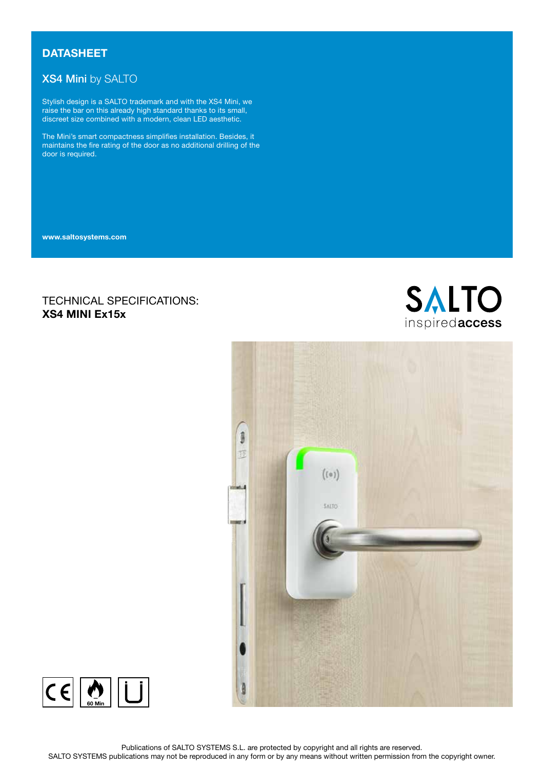# **DATASHEET**

# XS4 Mini by SALTO

Stylish design is a SALTO trademark and with the XS4 Mini, we raise the bar on this already high standard thanks to its small, discreet size combined with a modern, clean LED aesthetic.

The Mini's smart compactness simplifies installation. Besides, it maintains the fire rating of the door as no additional drilling of the door is required.

www.saltosystems.com

# TECHNICAL SPECIFICATIONS: XS4 MINI Ex15x